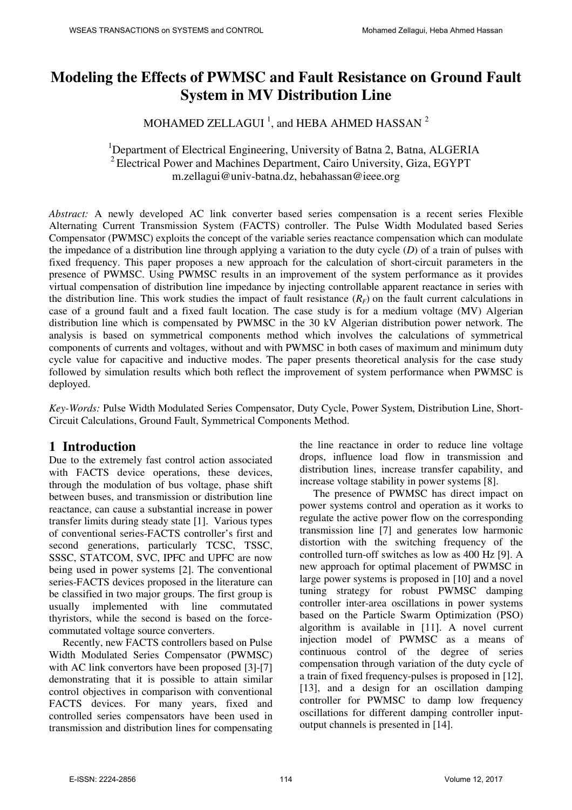# **Modeling the Effects of PWMSC and Fault Resistance on Ground Fault System in MV Distribution Line**

## MOHAMED ZELLAGUI  $^1$ , and HEBA AHMED HASSAN  $^2$

#### <sup>1</sup>Department of Electrical Engineering, University of Batna 2, Batna, ALGERIA  $2^2$  Electrical Power and Machines Department, Cairo University, Giza, EGYPT m.zellagui@univ-batna.dz, hebahassan@ieee.org

*Abstract:* A newly developed AC link converter based series compensation is a recent series Flexible Alternating Current Transmission System (FACTS) controller. The Pulse Width Modulated based Series Compensator (PWMSC) exploits the concept of the variable series reactance compensation which can modulate the impedance of a distribution line through applying a variation to the duty cycle (*D*) of a train of pulses with fixed frequency. This paper proposes a new approach for the calculation of short-circuit parameters in the presence of PWMSC. Using PWMSC results in an improvement of the system performance as it provides virtual compensation of distribution line impedance by injecting controllable apparent reactance in series with the distribution line. This work studies the impact of fault resistance  $(R<sub>F</sub>)$  on the fault current calculations in case of a ground fault and a fixed fault location. The case study is for a medium voltage (MV) Algerian distribution line which is compensated by PWMSC in the 30 kV Algerian distribution power network. The analysis is based on symmetrical components method which involves the calculations of symmetrical components of currents and voltages, without and with PWMSC in both cases of maximum and minimum duty cycle value for capacitive and inductive modes. The paper presents theoretical analysis for the case study followed by simulation results which both reflect the improvement of system performance when PWMSC is deployed.

*Key-Words:* Pulse Width Modulated Series Compensator, Duty Cycle, Power System, Distribution Line, Short-Circuit Calculations, Ground Fault, Symmetrical Components Method.

## **1 Introduction**

Due to the extremely fast control action associated with FACTS device operations, these devices, through the modulation of bus voltage, phase shift between buses, and transmission or distribution line reactance, can cause a substantial increase in power transfer limits during steady state [1]. Various types of conventional series-FACTS controller's first and second generations, particularly TCSC, TSSC, SSSC, STATCOM, SVC, IPFC and UPFC are now being used in power systems [2]. The conventional series-FACTS devices proposed in the literature can be classified in two major groups. The first group is usually implemented with line commutated thyristors, while the second is based on the forcecommutated voltage source converters.

Recently, new FACTS controllers based on Pulse Width Modulated Series Compensator (PWMSC) with AC link convertors have been proposed [3]-[7] demonstrating that it is possible to attain similar control objectives in comparison with conventional FACTS devices. For many years, fixed and controlled series compensators have been used in transmission and distribution lines for compensating the line reactance in order to reduce line voltage drops, influence load flow in transmission and distribution lines, increase transfer capability, and increase voltage stability in power systems [8].

The presence of PWMSC has direct impact on power systems control and operation as it works to regulate the active power flow on the corresponding transmission line [7] and generates low harmonic distortion with the switching frequency of the controlled turn-off switches as low as 400 Hz [9]. A new approach for optimal placement of PWMSC in large power systems is proposed in [10] and a novel tuning strategy for robust PWMSC damping controller inter-area oscillations in power systems based on the Particle Swarm Optimization (PSO) algorithm is available in [11]. A novel current injection model of PWMSC as a means of continuous control of the degree of series compensation through variation of the duty cycle of a train of fixed frequency-pulses is proposed in [12], [13], and a design for an oscillation damping controller for PWMSC to damp low frequency oscillations for different damping controller inputoutput channels is presented in [14].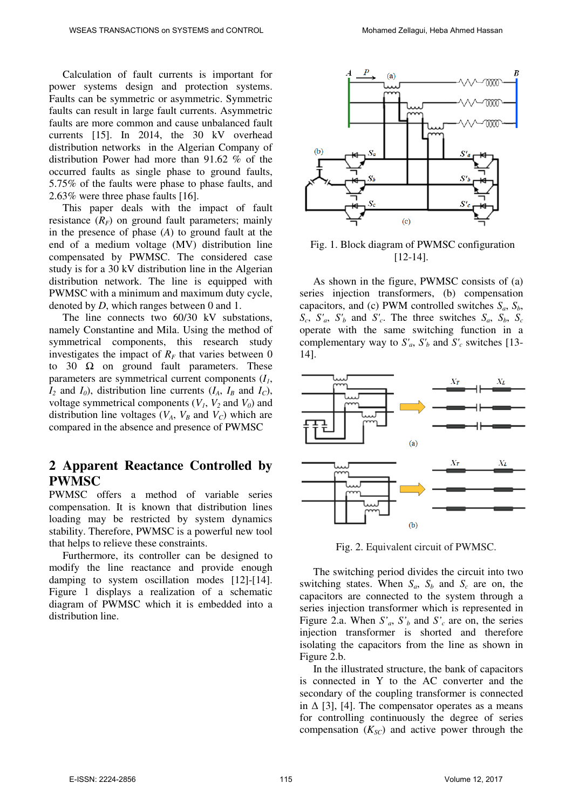Calculation of fault currents is important for power systems design and protection systems. Faults can be symmetric or asymmetric. Symmetric faults can result in large fault currents. Asymmetric faults are more common and cause unbalanced fault currents [15]. In 2014, the 30 kV overhead distribution networks in the Algerian Company of distribution Power had more than 91.62 % of the occurred faults as single phase to ground faults, 5.75% of the faults were phase to phase faults, and 2.63% were three phase faults [16].

This paper deals with the impact of fault resistance  $(R_F)$  on ground fault parameters; mainly in the presence of phase (*A*) to ground fault at the end of a medium voltage (MV) distribution line compensated by PWMSC. The considered case study is for a 30 kV distribution line in the Algerian distribution network. The line is equipped with PWMSC with a minimum and maximum duty cycle, denoted by *D*, which ranges between 0 and 1.

The line connects two 60/30 kV substations, namely Constantine and Mila. Using the method of symmetrical components, this research study investigates the impact of  $R_F$  that varies between 0 to 30  $\Omega$  on ground fault parameters. These parameters are symmetrical current components (*I1*,  $I_2$  and  $I_0$ ), distribution line currents  $(I_A, I_B \text{ and } I_C)$ , voltage symmetrical components  $(V_1, V_2 \text{ and } V_0)$  and distribution line voltages  $(V_A, V_B \text{ and } V_C)$  which are compared in the absence and presence of PWMSC

## **2 Apparent Reactance Controlled by PWMSC**

PWMSC offers a method of variable series compensation. It is known that distribution lines loading may be restricted by system dynamics stability. Therefore, PWMSC is a powerful new tool that helps to relieve these constraints.

Furthermore, its controller can be designed to modify the line reactance and provide enough damping to system oscillation modes [12]-[14]. Figure 1 displays a realization of a schematic diagram of PWMSC which it is embedded into a distribution line.



 Fig. 1. Block diagram of PWMSC configuration [12-14].

As shown in the figure, PWMSC consists of (a) series injection transformers, (b) compensation capacitors, and (c) PWM controlled switches *Sa*, *Sb*,  $S_c$ ,  $S'_a$ ,  $S'_b$  and  $S'_c$ . The three switches  $S_a$ ,  $S_b$ ,  $S_c$ operate with the same switching function in a complementary way to  $S'_a$ ,  $S'_b$  and  $S'_c$  switches [13-14].



Fig. 2. Equivalent circuit of PWMSC.

The switching period divides the circuit into two switching states. When  $S_a$ ,  $S_b$  and  $S_c$  are on, the capacitors are connected to the system through a series injection transformer which is represented in Figure 2.a. When  $S'_a$ ,  $S'_b$  and  $S'_c$  are on, the series injection transformer is shorted and therefore isolating the capacitors from the line as shown in Figure 2.b.

In the illustrated structure, the bank of capacitors is connected in Y to the AC converter and the secondary of the coupling transformer is connected in  $\Delta$  [3], [4]. The compensator operates as a means for controlling continuously the degree of series compensation  $(K_{SC})$  and active power through the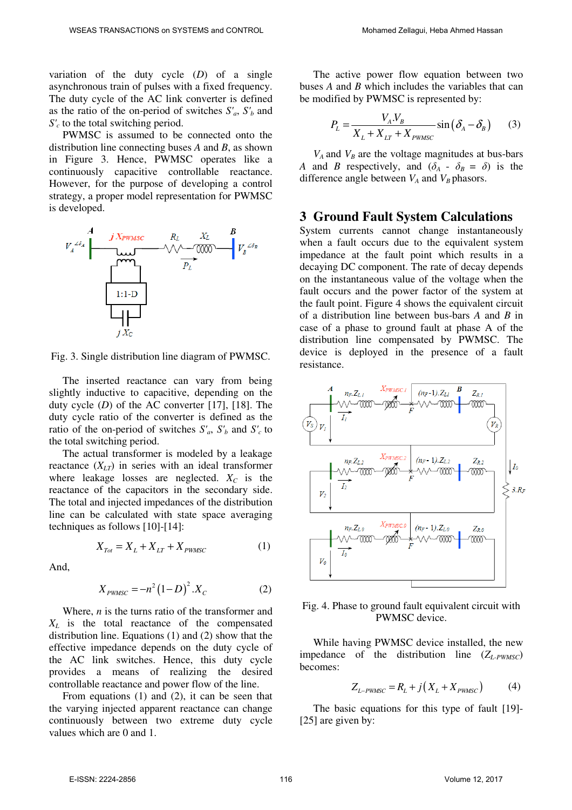variation of the duty cycle (*D*) of a single asynchronous train of pulses with a fixed frequency. The duty cycle of the AC link converter is defined as the ratio of the on-period of switches  $S'_a$ ,  $S'_b$  and *S'c* to the total switching period.

PWMSC is assumed to be connected onto the distribution line connecting buses *A* and *B*, as shown in Figure 3. Hence, PWMSC operates like a continuously capacitive controllable reactance. However, for the purpose of developing a control strategy, a proper model representation for PWMSC is developed.



Fig. 3. Single distribution line diagram of PWMSC.

The inserted reactance can vary from being slightly inductive to capacitive, depending on the duty cycle (*D*) of the AC converter [17], [18]. The duty cycle ratio of the converter is defined as the ratio of the on-period of switches  $S'_a$ ,  $S'_b$  and  $S'_c$  to the total switching period.

The actual transformer is modeled by a leakage reactance  $(X_{LT})$  in series with an ideal transformer where leakage losses are neglected.  $X_C$  is the reactance of the capacitors in the secondary side. The total and injected impedances of the distribution line can be calculated with state space averaging techniques as follows [10]-[14]:

$$
X_{\text{Tot}} = X_L + X_{LT} + X_{\text{PWMSC}} \tag{1}
$$

And,

$$
X_{\text{PWMSC}} = -n^2 (1 - D)^2 . X_C \tag{2}
$$

 Where, *n* is the turns ratio of the transformer and *XL* is the total reactance of the compensated distribution line. Equations (1) and (2) show that the effective impedance depends on the duty cycle of the AC link switches. Hence, this duty cycle provides a means of realizing the desired controllable reactance and power flow of the line.

From equations (1) and (2), it can be seen that the varying injected apparent reactance can change continuously between two extreme duty cycle values which are 0 and 1.

The active power flow equation between two buses *A* and *B* which includes the variables that can be modified by PWMSC is represented by:

$$
P_L = \frac{V_A V_B}{X_L + X_{LT} + X_{PWMSC}} \sin(\delta_A - \delta_B)
$$
 (3)

 $V_A$  and  $V_B$  are the voltage magnitudes at bus-bars *A* and *B* respectively, and  $(\delta_A - \delta_B = \delta)$  is the difference angle between  $V_A$  and  $V_B$  phasors.

#### **3 Ground Fault System Calculations**

System currents cannot change instantaneously when a fault occurs due to the equivalent system impedance at the fault point which results in a decaying DC component. The rate of decay depends on the instantaneous value of the voltage when the fault occurs and the power factor of the system at the fault point. Figure 4 shows the equivalent circuit of a distribution line between bus-bars *A* and *B* in case of a phase to ground fault at phase A of the distribution line compensated by PWMSC. The device is deployed in the presence of a fault resistance.



Fig. 4. Phase to ground fault equivalent circuit with PWMSC device.

While having PWMSC device installed, the new impedance of the distribution line  $(Z_L_{PWMSC})$ becomes:

$$
Z_{L-PWMSC} = R_L + j(X_L + X_{PWMSC})
$$
 (4)

The basic equations for this type of fault [19]- [25] are given by: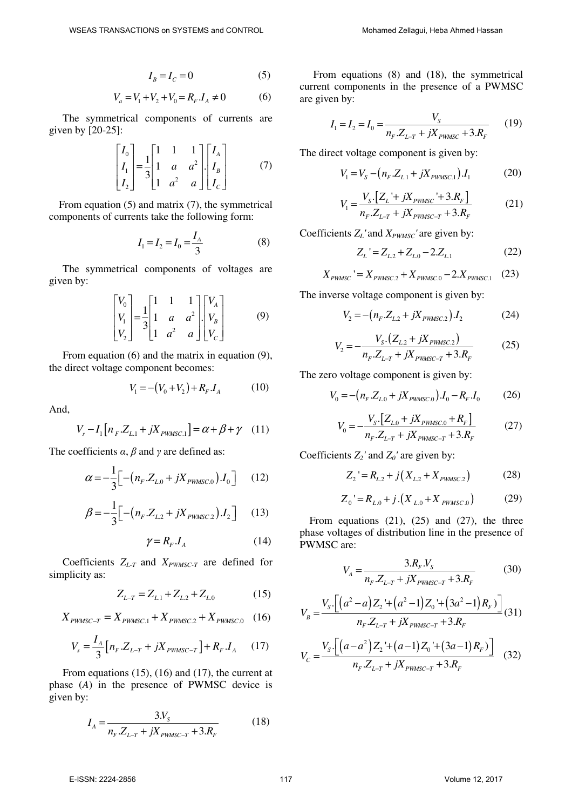$$
I_B = I_C = 0 \tag{5}
$$

$$
V_a = V_1 + V_2 + V_0 = R_F \cdot I_A \neq 0 \tag{6}
$$

The symmetrical components of currents are given by [20-25]:

$$
\begin{bmatrix} I_0 \\ I_1 \\ I_2 \end{bmatrix} = \frac{1}{3} \begin{bmatrix} 1 & 1 & 1 \\ 1 & a & a^2 \\ 1 & a^2 & a \end{bmatrix} \begin{bmatrix} I_A \\ I_B \\ I_C \end{bmatrix}
$$
 (7)

From equation (5) and matrix (7), the symmetrical components of currents take the following form:

$$
I_1 = I_2 = I_0 = \frac{I_A}{3}
$$
 (8)

The symmetrical components of voltages are given by:

$$
\begin{bmatrix} V_0 \\ V_1 \\ V_2 \end{bmatrix} = \frac{1}{3} \begin{bmatrix} 1 & 1 & 1 \\ 1 & a & a^2 \\ 1 & a^2 & a \end{bmatrix} \begin{bmatrix} V_A \\ V_B \\ V_C \end{bmatrix}
$$
 (9)

 From equation (6) and the matrix in equation (9), the direct voltage component becomes:

$$
V_1 = -(V_0 + V_2) + R_F J_A \tag{10}
$$

And,

$$
V_s - I_1 [n_F.Z_{L.1} + jX_{PWMSC.1}] = \alpha + \beta + \gamma \quad (11)
$$

The coefficients *α*, *β* and *γ* are defined as:

$$
\alpha = -\frac{1}{3} \Big[ -\big( n_F \, Z_{L,0} + jX_{PWMSC,0} \big) \, J_0 \, \Big] \tag{12}
$$

$$
\beta = -\frac{1}{3} \Big[ -\big( n_F \, Z_{L2} + jX_{PWMSC,2} \big) \, I_2 \, \Big] \tag{13}
$$

$$
\gamma = R_F \, J_A \tag{14}
$$

 Coefficients *ZL-T* and *XPWMSC-T* are defined for simplicity as:

$$
Z_{L-T} = Z_{L1} + Z_{L2} + Z_{L0}
$$
 (15)

$$
X_{PWMSC-T} = X_{PWMSC.1} + X_{PWMSC.2} + X_{PWMSC.0} \quad (16)
$$

$$
V_s = \frac{I_A}{3} \Big[ n_F \, Z_{L-T} + jX_{PWMSC-T} \Big] + R_F \, J_A \tag{17}
$$

From equations (15), (16) and (17), the current at phase (*A*) in the presence of PWMSC device is given by:

$$
I_A = \frac{3N_S}{n_F \, Z_{L-T} + jX_{PWMSC-T} + 3.R_F} \tag{18}
$$

From equations (8) and (18), the symmetrical current components in the presence of a PWMSC are given by:

$$
I_1 = I_2 = I_0 = \frac{V_s}{n_F \cdot Z_{L-T} + jX_{PWMSC} + 3.R_F}
$$
 (19)

The direct voltage component is given by:

$$
V_1 = V_S - (n_F.Z_{L1} + jX_{PWMSC.1})J_1
$$
 (20)

$$
V_1 = \frac{V_{S} \cdot [Z_L' + jX_{PMMC} + 3.R_F]}{n_F.Z_{L-T} + jX_{PMMC-T} + 3.R_F}
$$
(21)

Coefficients  $Z_L$ <sup>'</sup> and  $X_{PWMSC}$ <sup>'</sup> are given by:

$$
Z_L = Z_{L2} + Z_{L0} - 2.Z_{L1}
$$
 (22)

$$
X_{PWMSC} = X_{PWMSC,2} + X_{PWMSC,0} - 2.X_{PWMSC,1} \quad (23)
$$

The inverse voltage component is given by:

$$
V_2 = -(n_F.Z_{L2} + jX_{PWMSC2})J_2
$$
 (24)

$$
V_2 = -\frac{V_{S} (Z_{L2} + jX_{PWMSC2})}{n_F Z_{L-T} + jX_{PWMSC-T} + 3.R_F}
$$
 (25)

The zero voltage component is given by:

$$
V_0 = -(n_F \, Z_{L0} + jX_{PWMSC.0}) \, I_0 - R_F \, I_0 \tag{26}
$$

$$
V_0 = -\frac{V_{S} \left[Z_{L,0} + jX_{PWMSC,0} + R_F\right]}{n_F \cdot Z_{L-T} + jX_{PWMSC-T} + 3.R_F}
$$
(27)

Coefficients  $Z_2'$  and  $Z_0'$  are given by:

$$
Z_2 = R_{L2} + j(X_{L2} + X_{PWMSC2})
$$
 (28)

$$
Z_0 = R_{L,0} + j \left( X_{L,0} + X_{PWMSC,0} \right) \tag{29}
$$

From equations  $(21)$ ,  $(25)$  and  $(27)$ , the three phase voltages of distribution line in the presence of PWMSC are:

$$
V_A = \frac{3.R_F.V_S}{n_F.Z_{L-T} + jX_{PWMSC-T} + 3.R_F}
$$
(30)

$$
V_B = \frac{V_s \left[ \left( a^2 - a \right) Z_2 + \left( a^2 - 1 \right) Z_0 + \left( 3a^2 - 1 \right) R_F \right)}{n_F Z_{L-T} + jX_{PWMSC-T} + 3.R_F} (31)
$$

$$
V_C = \frac{V_s \cdot \left[ \left( a - a^2 \right) Z_2 + \left( a - 1 \right) Z_0 + \left( 3a - 1 \right) R_F \right)}{n_F \cdot Z_{L-T} + jX_{PWMSC-T} + 3.R_F} \tag{32}
$$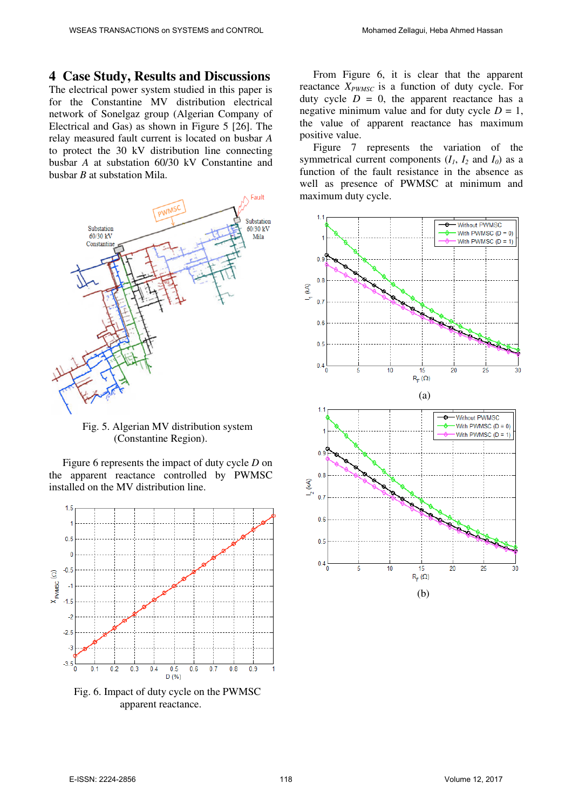### **4 Case Study, Results and Discussions**

The electrical power system studied in this paper is for the Constantine MV distribution electrical network of Sonelgaz group (Algerian Company of Electrical and Gas) as shown in Figure 5 [26]. The relay measured fault current is located on busbar *A* to protect the 30 kV distribution line connecting busbar *A* at substation 60/30 kV Constantine and busbar *B* at substation Mila.



Fig. 5. Algerian MV distribution system (Constantine Region).

Figure 6 represents the impact of duty cycle *D* on the apparent reactance controlled by PWMSC installed on the MV distribution line.



Fig. 6. Impact of duty cycle on the PWMSC apparent reactance.

From Figure 6, it is clear that the apparent reactance *XPWMSC* is a function of duty cycle. For duty cycle  $D = 0$ , the apparent reactance has a negative minimum value and for duty cycle  $D = 1$ , the value of apparent reactance has maximum positive value.

Figure 7 represents the variation of the symmetrical current components  $(I_1, I_2 \text{ and } I_0)$  as a function of the fault resistance in the absence as well as presence of PWMSC at minimum and maximum duty cycle.

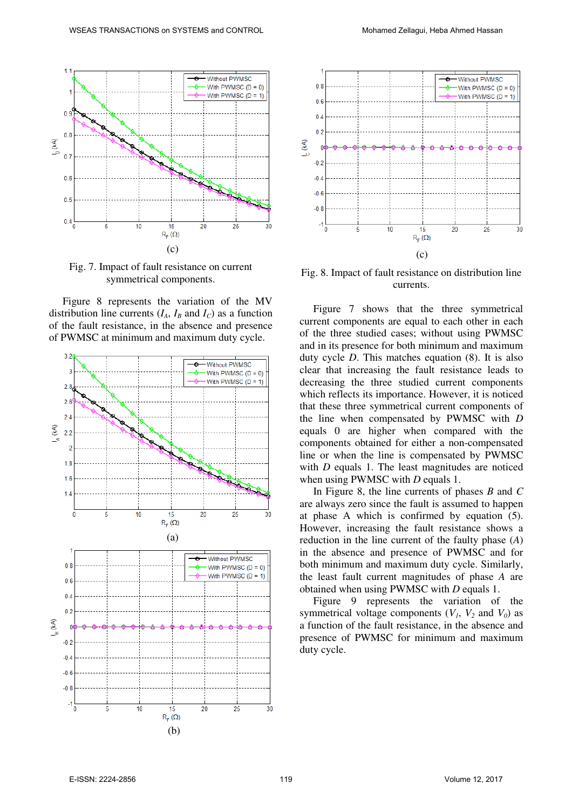

Fig. 7. Impact of fault resistance on current symmetrical components.

Figure 8 represents the variation of the MV distribution line currents  $(I_A, I_B \text{ and } I_C)$  as a function of the fault resistance, in the absence and presence of PWMSC at minimum and maximum duty cycle.





Fig. 8. Impact of fault resistance on distribution line currents.

Figure 7 shows that the three symmetrical current components are equal to each other in each of the three studied cases; without using PWMSC and in its presence for both minimum and maximum duty cycle *D*. This matches equation (8). It is also clear that increasing the fault resistance leads to decreasing the three studied current components which reflects its importance. However, it is noticed that these three symmetrical current components of the line when compensated by PWMSC with *D* equals 0 are higher when compared with the components obtained for either a non-compensated line or when the line is compensated by PWMSC with *D* equals 1. The least magnitudes are noticed when using PWMSC with *D* equals 1.

In Figure 8, the line currents of phases *B* and *C* are always zero since the fault is assumed to happen at phase A which is confirmed by equation (5). However, increasing the fault resistance shows a reduction in the line current of the faulty phase (*A*) in the absence and presence of PWMSC and for both minimum and maximum duty cycle. Similarly, the least fault current magnitudes of phase *A* are obtained when using PWMSC with *D* equals 1.

Figure 9 represents the variation of the symmetrical voltage components  $(V_1, V_2 \text{ and } V_0)$  as a function of the fault resistance, in the absence and presence of PWMSC for minimum and maximum duty cycle.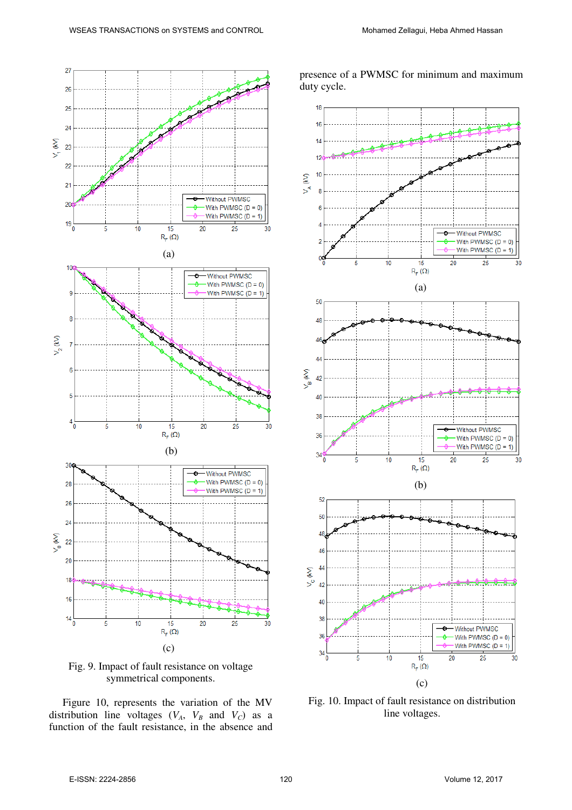presence of a PWMSC for minimum and maximum



Fig. 9. Impact of fault resistance on voltage symmetrical components.

Figure 10, represents the variation of the MV distribution line voltages  $(V_A, V_B$  and  $V_C$ ) as a function of the fault resistance, in the absence and



Fig. 10. Impact of fault resistance on distribution line voltages.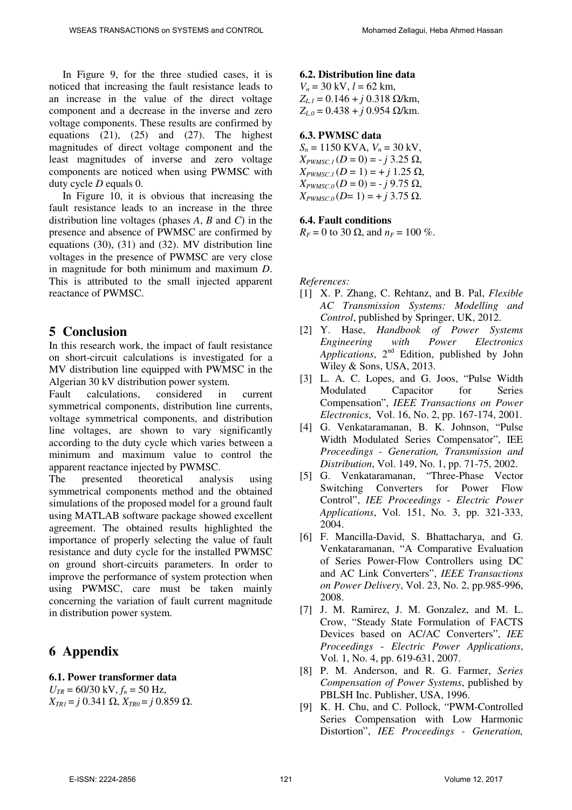In Figure 9, for the three studied cases, it is noticed that increasing the fault resistance leads to an increase in the value of the direct voltage component and a decrease in the inverse and zero voltage components. These results are confirmed by equations  $(21)$ ,  $(25)$  and  $(27)$ . The highest magnitudes of direct voltage component and the least magnitudes of inverse and zero voltage components are noticed when using PWMSC with duty cycle *D* equals 0.

In Figure 10, it is obvious that increasing the fault resistance leads to an increase in the three distribution line voltages (phases *A*, *B* and *C*) in the presence and absence of PWMSC are confirmed by equations (30), (31) and (32). MV distribution line voltages in the presence of PWMSC are very close in magnitude for both minimum and maximum *D*. This is attributed to the small injected apparent reactance of PWMSC.

## **5 Conclusion**

In this research work, the impact of fault resistance on short-circuit calculations is investigated for a MV distribution line equipped with PWMSC in the Algerian 30 kV distribution power system.

Fault calculations, considered in current symmetrical components, distribution line currents, voltage symmetrical components, and distribution line voltages, are shown to vary significantly according to the duty cycle which varies between a minimum and maximum value to control the apparent reactance injected by PWMSC.

The presented theoretical analysis using symmetrical components method and the obtained simulations of the proposed model for a ground fault using MATLAB software package showed excellent agreement. The obtained results highlighted the importance of properly selecting the value of fault resistance and duty cycle for the installed PWMSC on ground short-circuits parameters. In order to improve the performance of system protection when using PWMSC, care must be taken mainly concerning the variation of fault current magnitude in distribution power system.

## **6 Appendix**

#### **6.1. Power transformer data**

 $U_{TR} = 60/30 \text{ kV}, f_n = 50 \text{ Hz},$ *X*<sub>*TR1</sub>* = *j* 0.341 Ω, *X*<sub>*TR0</sub>* = *j* 0.859 Ω.</sub></sub>

#### **6.2. Distribution line data**

 $V_n = 30 \text{ kV}, l = 62 \text{ km}$ ,  $Z_{L1}$  = 0.146 + *j* 0.318 Ω/km, *ZL.0* = 0.438 + *j* 0.954 Ω/km.

#### **6.3. PWMSC data**

 $S_n = 1150$  KVA,  $V_n = 30$  kV,  $X_{PWMSC.1}(D=0) = -j \cdot 3.25 \Omega$ ,  $X_{PWMSC} (D = 1) = + j 1.25 \Omega$ ,  $X_{PWMSC,0}$  (*D* = 0) = - *j* 9.75 Ω,  $X_{PWMSC}$  (*D*= 1) = + *j* 3.75 Ω.

#### **6.4. Fault conditions**

 $R_F = 0$  to 30  $\Omega$ , and  $n_F = 100$  %.

*References:* 

- [1] X. P. Zhang, C. Rehtanz, and B. Pal, *Flexible AC Transmission Systems: Modelling and Control*, published by Springer, UK, 2012.
- [2] Y. Hase, *Handbook of Power Systems Engineering with Power Electronics*  Applications, 2<sup>nd</sup> Edition, published by John Wiley & Sons, USA, 2013.
- [3] L. A. C. Lopes, and G. Joos, "Pulse Width Modulated Capacitor for Series Compensation", *IEEE Transactions on Power Electronics*, Vol. 16, No. 2, pp. 167-174, 2001.
- [4] G. Venkataramanan, B. K. Johnson, "Pulse Width Modulated Series Compensator", IEE *Proceedings - Generation, Transmission and Distribution*, Vol. 149, No. 1, pp. 71-75, 2002.
- [5] G. Venkataramanan, "Three-Phase Vector Switching Converters for Power Flow Control", *IEE Proceedings* - *Electric Power Applications*, Vol. 151, No. 3, pp. 321-333, 2004.
- [6] F. Mancilla-David, S. Bhattacharya, and G. Venkataramanan, "A Comparative Evaluation of Series Power-Flow Controllers using DC and AC Link Converters", *IEEE Transactions on Power Delivery*, Vol. 23, No. 2, pp.985-996, 2008.
- [7] J. M. Ramirez, J. M. Gonzalez, and M. L. Crow, "Steady State Formulation of FACTS Devices based on AC/AC Converters", *IEE Proceedings* - *Electric Power Applications*, Vol. 1, No. 4, pp. 619-631, 2007.
- [8] P. M. Anderson, and R. G. Farmer, *Series Compensation of Power Systems*, published by PBLSH Inc. Publisher, USA, 1996.
- [9] K. H. Chu, and C. Pollock, "PWM-Controlled Series Compensation with Low Harmonic Distortion", *IEE Proceedings - Generation,*